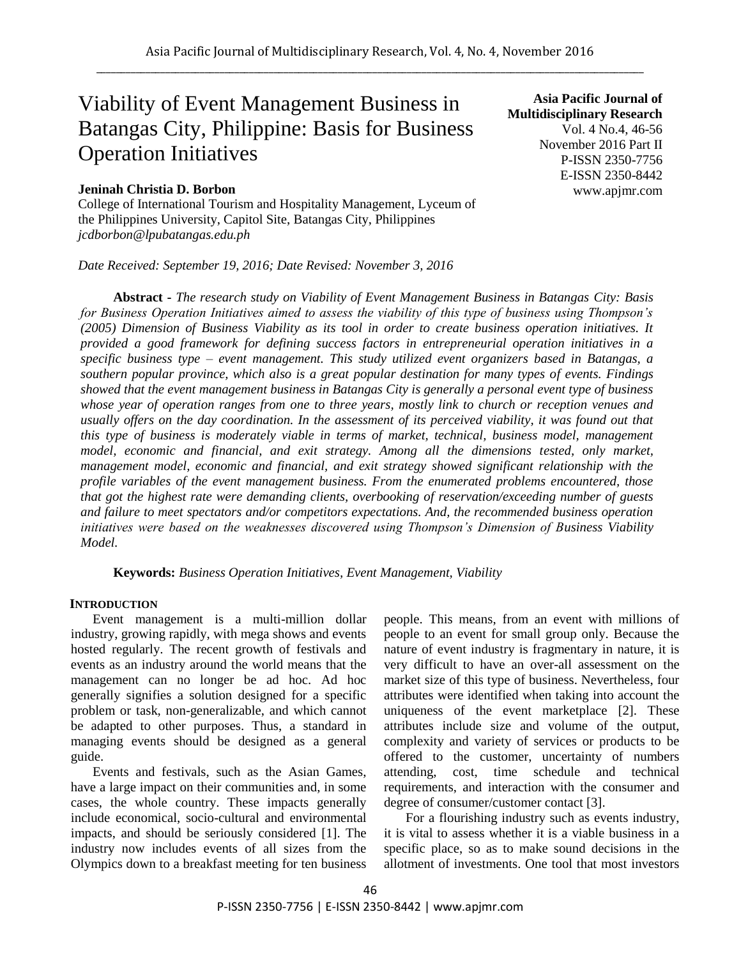# Viability of Event Management Business in Batangas City, Philippine: Basis for Business Operation Initiatives

## **Jeninah Christia D. Borbon**

College of International Tourism and Hospitality Management, Lyceum of the Philippines University, Capitol Site, Batangas City, Philippines *jcdborbon@lpubatangas.edu.ph* 

*Date Received: September 19, 2016; Date Revised: November 3, 2016*

**Asia Pacific Journal of Multidisciplinary Research** Vol. 4 No.4, 46-56 November 2016 Part II P-ISSN 2350-7756 E-ISSN 2350-8442 www.apjmr.com

**Abstract -** *The research study on Viability of Event Management Business in Batangas City: Basis for Business Operation Initiatives aimed to assess the viability of this type of business using Thompson's (2005) Dimension of Business Viability as its tool in order to create business operation initiatives. It provided a good framework for defining success factors in entrepreneurial operation initiatives in a specific business type – event management. This study utilized event organizers based in Batangas, a southern popular province, which also is a great popular destination for many types of events. Findings showed that the event management business in Batangas City is generally a personal event type of business whose year of operation ranges from one to three years, mostly link to church or reception venues and*  usually offers on the day coordination. In the assessment of its perceived viability, it was found out that *this type of business is moderately viable in terms of market, technical, business model, management model, economic and financial, and exit strategy. Among all the dimensions tested, only market, management model, economic and financial, and exit strategy showed significant relationship with the profile variables of the event management business. From the enumerated problems encountered, those that got the highest rate were demanding clients, overbooking of reservation/exceeding number of guests and failure to meet spectators and/or competitors expectations. And, the recommended business operation initiatives were based on the weaknesses discovered using Thompson's Dimension of Business Viability Model.*

**Keywords:** *Business Operation Initiatives, Event Management, Viability*

## **INTRODUCTION**

Event management is a multi-million dollar industry, growing rapidly, with mega shows and events hosted regularly. The recent growth of festivals and events as an industry around the world means that the management can no longer be ad hoc. Ad hoc generally signifies a solution designed for a specific problem or task, non-generalizable, and which cannot be adapted to other purposes. Thus, a standard in managing events should be designed as a general guide.

Events and festivals, such as the Asian Games, have a large impact on their communities and, in some cases, the whole country. These impacts generally include economical, socio-cultural and environmental impacts, and should be seriously considered [1]. The industry now includes events of all sizes from the Olympics down to a breakfast meeting for ten business

people. This means, from an event with millions of people to an event for small group only. Because the nature of event industry is fragmentary in nature, it is very difficult to have an over-all assessment on the market size of this type of business. Nevertheless, four attributes were identified when taking into account the uniqueness of the event marketplace [2]. These attributes include size and volume of the output, complexity and variety of services or products to be offered to the customer, uncertainty of numbers attending, cost, time schedule and technical requirements, and interaction with the consumer and degree of consumer/customer contact [3].

For a flourishing industry such as events industry, it is vital to assess whether it is a viable business in a specific place, so as to make sound decisions in the allotment of investments. One tool that most investors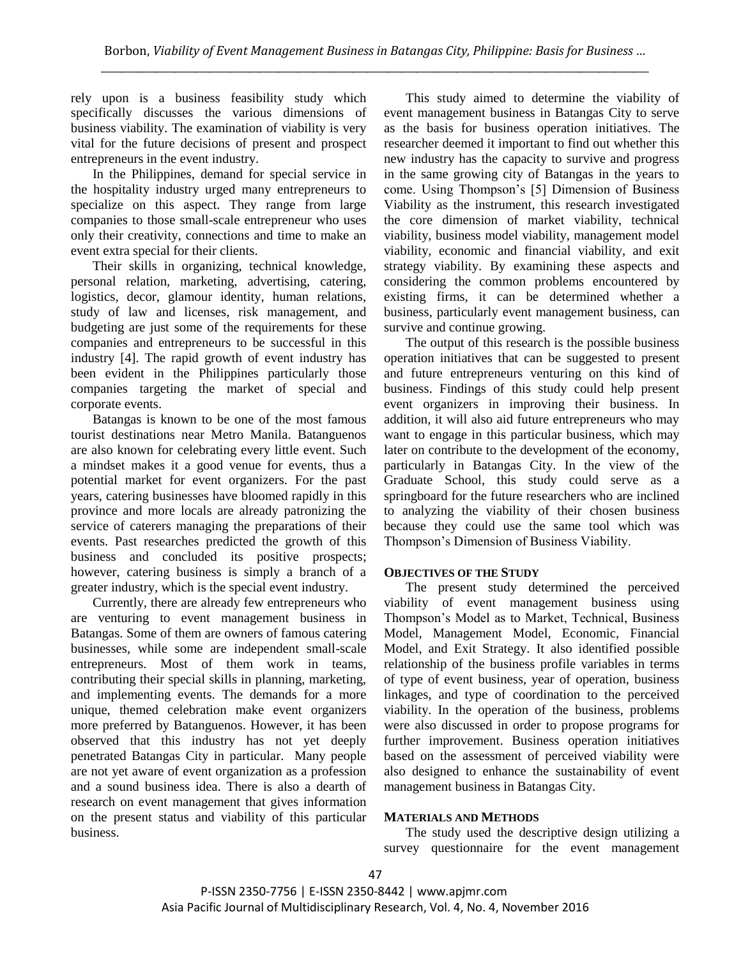rely upon is a business feasibility study which specifically discusses the various dimensions of business viability. The examination of viability is very vital for the future decisions of present and prospect entrepreneurs in the event industry.

In the Philippines, demand for special service in the hospitality industry urged many entrepreneurs to specialize on this aspect. They range from large companies to those small-scale entrepreneur who uses only their creativity, connections and time to make an event extra special for their clients.

Their skills in organizing, technical knowledge, personal relation, marketing, advertising, catering, logistics, decor, glamour identity, human relations, study of law and licenses, risk management, and budgeting are just some of the requirements for these companies and entrepreneurs to be successful in this industry [4]. The rapid growth of event industry has been evident in the Philippines particularly those companies targeting the market of special and corporate events.

Batangas is known to be one of the most famous tourist destinations near Metro Manila. Batanguenos are also known for celebrating every little event. Such a mindset makes it a good venue for events, thus a potential market for event organizers. For the past years, catering businesses have bloomed rapidly in this province and more locals are already patronizing the service of caterers managing the preparations of their events. Past researches predicted the growth of this business and concluded its positive prospects; however, catering business is simply a branch of a greater industry, which is the special event industry.

Currently, there are already few entrepreneurs who are venturing to event management business in Batangas. Some of them are owners of famous catering businesses, while some are independent small-scale entrepreneurs. Most of them work in teams, contributing their special skills in planning, marketing, and implementing events. The demands for a more unique, themed celebration make event organizers more preferred by Batanguenos. However, it has been observed that this industry has not yet deeply penetrated Batangas City in particular. Many people are not yet aware of event organization as a profession and a sound business idea. There is also a dearth of research on event management that gives information on the present status and viability of this particular business.

This study aimed to determine the viability of event management business in Batangas City to serve as the basis for business operation initiatives. The researcher deemed it important to find out whether this new industry has the capacity to survive and progress in the same growing city of Batangas in the years to come. Using Thompson's [5] Dimension of Business Viability as the instrument, this research investigated the core dimension of market viability, technical viability, business model viability, management model viability, economic and financial viability, and exit strategy viability. By examining these aspects and considering the common problems encountered by existing firms, it can be determined whether a business, particularly event management business, can survive and continue growing.

The output of this research is the possible business operation initiatives that can be suggested to present and future entrepreneurs venturing on this kind of business. Findings of this study could help present event organizers in improving their business. In addition, it will also aid future entrepreneurs who may want to engage in this particular business, which may later on contribute to the development of the economy, particularly in Batangas City. In the view of the Graduate School, this study could serve as a springboard for the future researchers who are inclined to analyzing the viability of their chosen business because they could use the same tool which was Thompson's Dimension of Business Viability.

# **OBJECTIVES OF THE STUDY**

The present study determined the perceived viability of event management business using Thompson's Model as to Market, Technical, Business Model, Management Model, Economic, Financial Model, and Exit Strategy. It also identified possible relationship of the business profile variables in terms of type of event business, year of operation, business linkages, and type of coordination to the perceived viability. In the operation of the business, problems were also discussed in order to propose programs for further improvement. Business operation initiatives based on the assessment of perceived viability were also designed to enhance the sustainability of event management business in Batangas City.

## **MATERIALS AND METHODS**

The study used the descriptive design utilizing a survey questionnaire for the event management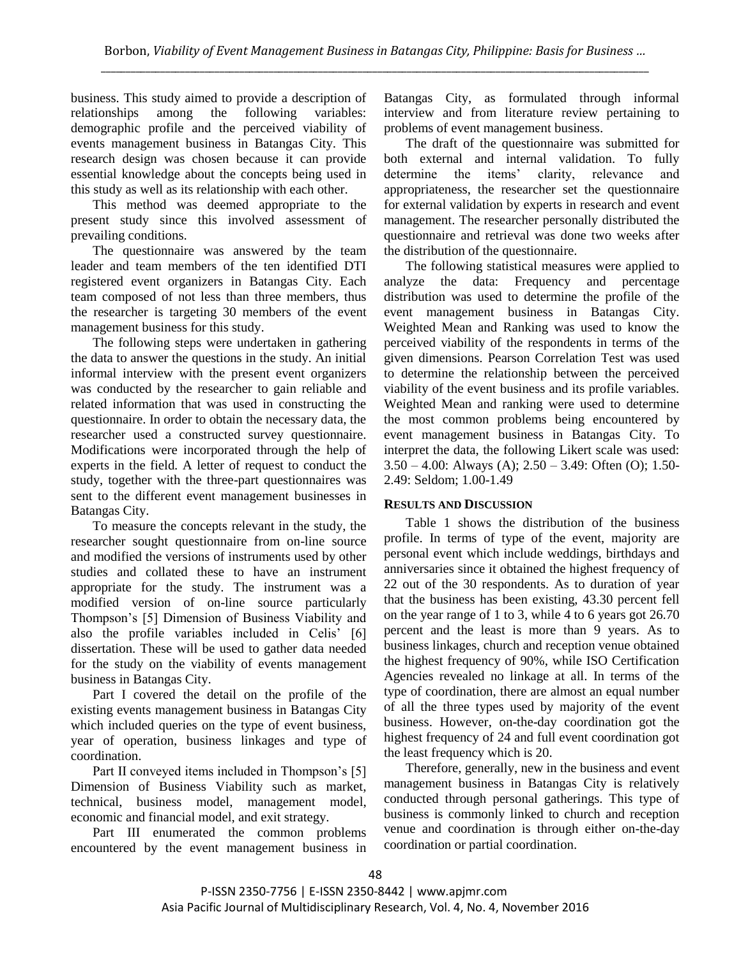business. This study aimed to provide a description of relationships among the following variables: demographic profile and the perceived viability of events management business in Batangas City. This research design was chosen because it can provide essential knowledge about the concepts being used in this study as well as its relationship with each other.

This method was deemed appropriate to the present study since this involved assessment of prevailing conditions.

The questionnaire was answered by the team leader and team members of the ten identified DTI registered event organizers in Batangas City. Each team composed of not less than three members, thus the researcher is targeting 30 members of the event management business for this study.

The following steps were undertaken in gathering the data to answer the questions in the study. An initial informal interview with the present event organizers was conducted by the researcher to gain reliable and related information that was used in constructing the questionnaire. In order to obtain the necessary data, the researcher used a constructed survey questionnaire. Modifications were incorporated through the help of experts in the field. A letter of request to conduct the study, together with the three-part questionnaires was sent to the different event management businesses in Batangas City.

To measure the concepts relevant in the study, the researcher sought questionnaire from on-line source and modified the versions of instruments used by other studies and collated these to have an instrument appropriate for the study. The instrument was a modified version of on-line source particularly Thompson's [5] Dimension of Business Viability and also the profile variables included in Celis' [6] dissertation. These will be used to gather data needed for the study on the viability of events management business in Batangas City.

Part I covered the detail on the profile of the existing events management business in Batangas City which included queries on the type of event business, year of operation, business linkages and type of coordination.

Part II conveyed items included in Thompson's [5] Dimension of Business Viability such as market, technical, business model, management model, economic and financial model, and exit strategy.

Part III enumerated the common problems encountered by the event management business in

Batangas City, as formulated through informal interview and from literature review pertaining to problems of event management business.

The draft of the questionnaire was submitted for both external and internal validation. To fully determine the items' clarity, relevance and appropriateness, the researcher set the questionnaire for external validation by experts in research and event management. The researcher personally distributed the questionnaire and retrieval was done two weeks after the distribution of the questionnaire.

The following statistical measures were applied to analyze the data: Frequency and percentage distribution was used to determine the profile of the event management business in Batangas City. Weighted Mean and Ranking was used to know the perceived viability of the respondents in terms of the given dimensions. Pearson Correlation Test was used to determine the relationship between the perceived viability of the event business and its profile variables. Weighted Mean and ranking were used to determine the most common problems being encountered by event management business in Batangas City. To interpret the data, the following Likert scale was used: 3.50 – 4.00: Always (A); 2.50 – 3.49: Often (O); 1.50- 2.49: Seldom; 1.00-1.49

## **RESULTS AND DISCUSSION**

Table 1 shows the distribution of the business profile. In terms of type of the event, majority are personal event which include weddings, birthdays and anniversaries since it obtained the highest frequency of 22 out of the 30 respondents. As to duration of year that the business has been existing, 43.30 percent fell on the year range of 1 to 3, while 4 to 6 years got 26.70 percent and the least is more than 9 years. As to business linkages, church and reception venue obtained the highest frequency of 90%, while ISO Certification Agencies revealed no linkage at all. In terms of the type of coordination, there are almost an equal number of all the three types used by majority of the event business. However, on-the-day coordination got the highest frequency of 24 and full event coordination got the least frequency which is 20.

Therefore, generally, new in the business and event management business in Batangas City is relatively conducted through personal gatherings. This type of business is commonly linked to church and reception venue and coordination is through either on-the-day coordination or partial coordination.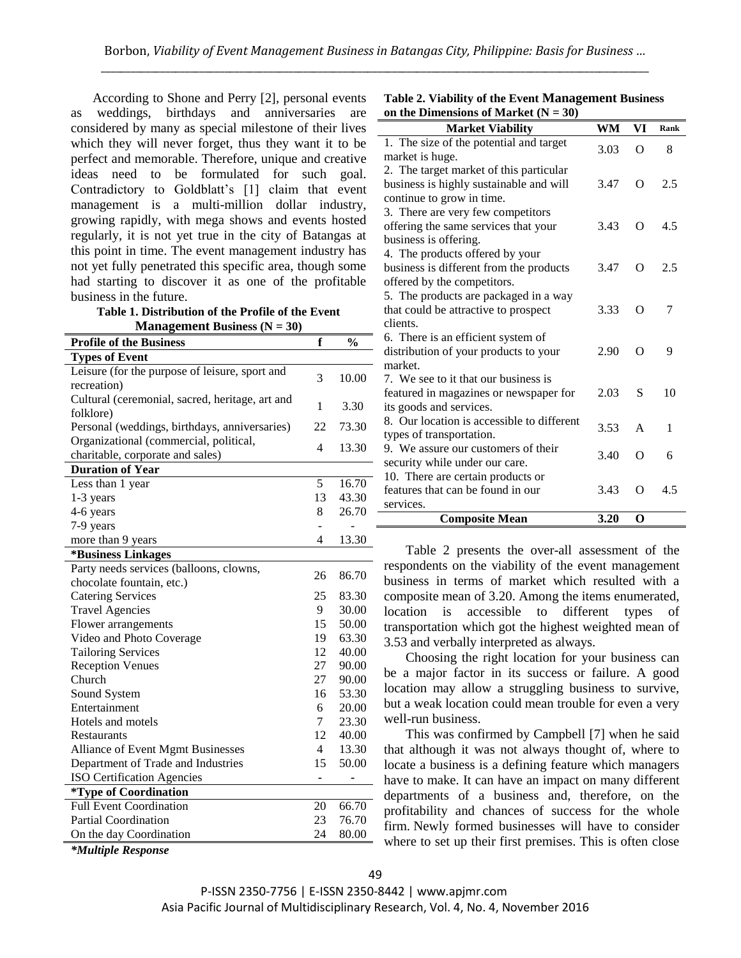According to Shone and Perry [2], personal events as weddings, birthdays and anniversaries are considered by many as special milestone of their lives which they will never forget, thus they want it to be perfect and memorable. Therefore, unique and creative ideas need to be formulated for such goal. Contradictory to Goldblatt's [1] claim that event management is a multi-million dollar industry, growing rapidly, with mega shows and events hosted regularly, it is not yet true in the city of Batangas at this point in time. The event management industry has not yet fully penetrated this specific area, though some had starting to discover it as one of the profitable business in the future.

**Table 1. Distribution of the Profile of the Event Management Business (N = 30)**

| IVI anagement Dusiness $(Y = 30)$                             |                |               |
|---------------------------------------------------------------|----------------|---------------|
| <b>Profile of the Business</b>                                | f              | $\frac{0}{0}$ |
| <b>Types of Event</b>                                         |                |               |
| Leisure (for the purpose of leisure, sport and<br>recreation) | 3              | 10.00         |
| Cultural (ceremonial, sacred, heritage, art and               |                |               |
| folklore)                                                     | 1              | 3.30          |
| Personal (weddings, birthdays, anniversaries)                 | 22             | 73.30         |
| Organizational (commercial, political,                        | 4              | 13.30         |
| charitable, corporate and sales)                              |                |               |
| <b>Duration of Year</b>                                       |                |               |
| Less than 1 year                                              | 5              | 16.70         |
| 1-3 years                                                     | 13             | 43.30         |
| 4-6 years                                                     | 8              | 26.70         |
| 7-9 years                                                     |                |               |
| more than 9 years                                             | 4              | 13.30         |
| *Business Linkages                                            |                |               |
| Party needs services (balloons, clowns,                       | 26             | 86.70         |
| chocolate fountain, etc.)                                     |                |               |
| <b>Catering Services</b>                                      | 25             | 83.30         |
| <b>Travel Agencies</b>                                        | 9              | 30.00         |
| Flower arrangements                                           | 15             | 50.00         |
| Video and Photo Coverage                                      | 19             | 63.30         |
| <b>Tailoring Services</b>                                     | 12             | 40.00         |
| <b>Reception Venues</b>                                       | 27             | 90.00         |
| Church                                                        | 27             | 90.00         |
| Sound System                                                  | 16             | 53.30         |
| Entertainment                                                 | 6              | 20.00         |
| Hotels and motels                                             | 7              | 23.30         |
| Restaurants                                                   | 12             | 40.00         |
| Alliance of Event Mgmt Businesses                             | $\overline{4}$ | 13.30         |
| Department of Trade and Industries                            | 15             | 50.00         |
| ISO Certification Agencies                                    |                |               |
| <i>*Type of Coordination</i>                                  |                |               |
| <b>Full Event Coordination</b>                                | 20             | 66.70         |
| <b>Partial Coordination</b>                                   | 23             | 76.70         |
| On the day Coordination                                       | 24             | 80.00         |

| Table 2. Viability of the Event Management Business |
|-----------------------------------------------------|
| on the Dimensions of Market $(N = 30)$              |

| <b>Market Viability</b>                    | WM   | VI       | Rank |
|--------------------------------------------|------|----------|------|
| 1. The size of the potential and target    | 3.03 | $\Omega$ | 8    |
| market is huge.                            |      |          |      |
| 2. The target market of this particular    |      |          |      |
| business is highly sustainable and will    | 3.47 | $\Omega$ | 2.5  |
| continue to grow in time.                  |      |          |      |
| 3. There are very few competitors          |      |          |      |
| offering the same services that your       | 3.43 | $\Omega$ | 4.5  |
| business is offering.                      |      |          |      |
| 4. The products offered by your            |      |          |      |
| business is different from the products    | 3.47 | O        | 2.5  |
| offered by the competitors.                |      |          |      |
| 5. The products are packaged in a way      |      |          |      |
| that could be attractive to prospect       | 3.33 | $\Omega$ | 7    |
| clients.                                   |      |          |      |
| 6. There is an efficient system of         |      |          |      |
| distribution of your products to your      | 2.90 | $\Omega$ | 9    |
| market.                                    |      |          |      |
| 7. We see to it that our business is       |      |          |      |
| featured in magazines or newspaper for     | 2.03 | S        | 10   |
| its goods and services.                    |      |          |      |
| 8. Our location is accessible to different | 3.53 | A        | 1    |
| types of transportation.                   |      |          |      |
| 9. We assure our customers of their        | 3.40 | $\Omega$ | 6    |
| security while under our care.             |      |          |      |
| 10. There are certain products or          |      |          |      |
| features that can be found in our          | 3.43 | O        | 4.5  |
| services.                                  |      |          |      |
| <b>Composite Mean</b>                      | 3.20 | O        |      |

Table 2 presents the over-all assessment of the respondents on the viability of the event management business in terms of market which resulted with a composite mean of 3.20. Among the items enumerated, location is accessible to different types of transportation which got the highest weighted mean of 3.53 and verbally interpreted as always.

Choosing the right location for your business can be a major factor in its success or failure. A good location may allow a struggling business to survive, but a weak location could mean trouble for even a very well-run business.

This was confirmed by Campbell [7] when he said that although it was not always thought of, where to locate a business is a defining feature which managers have to make. It can have an impact on many different departments of a business and, therefore, on the profitability and chances of success for the whole firm. Newly formed businesses will have to consider where to set up their first premises. This is often close

*\*Multiple Response*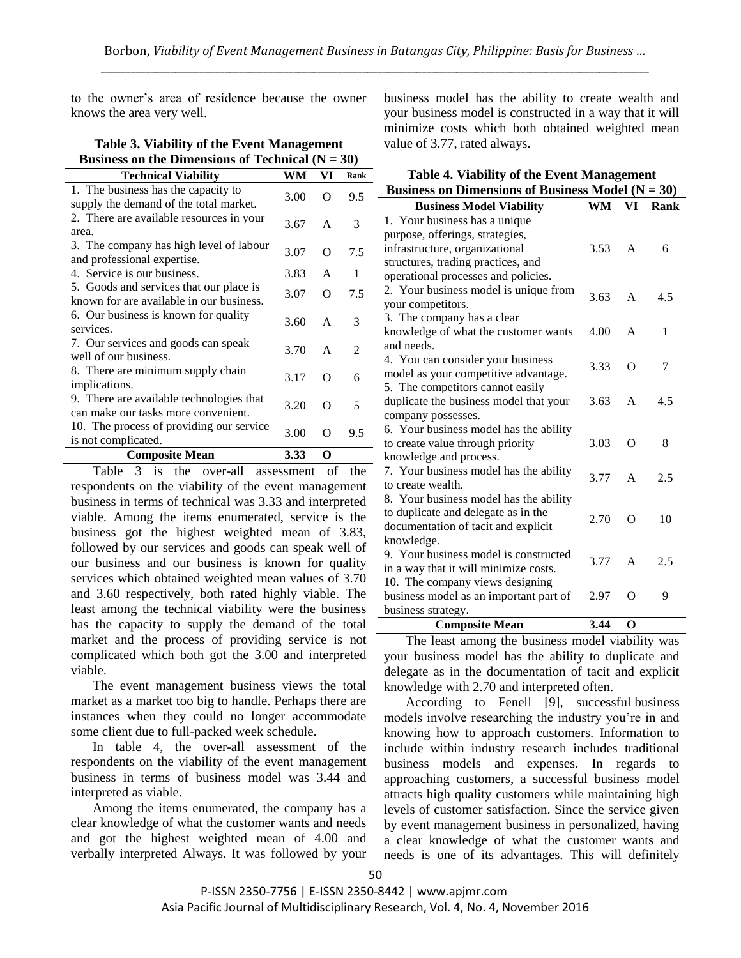to the owner's area of residence because the owner knows the area very well.

| Business on the Dimensions of Technical $(N = 30)$                                  |      |              |                |  |
|-------------------------------------------------------------------------------------|------|--------------|----------------|--|
| <b>Technical Viability</b>                                                          | WM   | VI           | Rank           |  |
| 1. The business has the capacity to<br>supply the demand of the total market.       | 3.00 | O            | 9.5            |  |
| 2. There are available resources in your<br>area.                                   | 3.67 | A            | 3              |  |
| 3. The company has high level of labour<br>and professional expertise.              | 3.07 | O            | 7.5            |  |
| 4. Service is our business.                                                         | 3.83 | $\mathsf{A}$ | 1              |  |
| 5. Goods and services that our place is<br>known for are available in our business. | 3.07 | O            | 7.5            |  |
| 6. Our business is known for quality<br>services.                                   | 3.60 | A            | 3              |  |
| 7. Our services and goods can speak<br>well of our business.                        | 3.70 | $\mathsf{A}$ | $\mathfrak{D}$ |  |
| 8. There are minimum supply chain<br>implications.                                  | 3.17 | $\Omega$     | 6              |  |
| 9. There are available technologies that<br>can make our tasks more convenient.     | 3.20 | O            | 5              |  |
| 10. The process of providing our service<br>is not complicated.                     | 3.00 | O            | 9.5            |  |
| <b>Composite Mean</b>                                                               | 3.33 | O            |                |  |

**Table 3. Viability of the Event Management**

Table 3 is the over-all assessment of the respondents on the viability of the event management business in terms of technical was 3.33 and interpreted viable. Among the items enumerated, service is the business got the highest weighted mean of 3.83, followed by our services and goods can speak well of our business and our business is known for quality services which obtained weighted mean values of 3.70 and 3.60 respectively, both rated highly viable. The least among the technical viability were the business has the capacity to supply the demand of the total market and the process of providing service is not complicated which both got the 3.00 and interpreted viable.

The event management business views the total market as a market too big to handle. Perhaps there are instances when they could no longer accommodate some client due to full-packed week schedule.

In table 4, the over-all assessment of the respondents on the viability of the event management business in terms of business model was 3.44 and interpreted as viable.

Among the items enumerated, the company has a clear knowledge of what the customer wants and needs and got the highest weighted mean of 4.00 and verbally interpreted Always. It was followed by your business model has the ability to create wealth and your business model is constructed in a way that it will minimize costs which both obtained weighted mean value of 3.77, rated always.

| Table 4. Viability of the Event Management            |  |
|-------------------------------------------------------|--|
| Business on Dimensions of Business Model ( $N = 30$ ) |  |

| Dustriess on Dimensions of Dustriess brought $(11 - 30)$ |      |              |      |
|----------------------------------------------------------|------|--------------|------|
| <b>Business Model Viability</b>                          | WM   | VI           | Rank |
| 1. Your business has a unique                            |      |              |      |
| purpose, offerings, strategies,                          |      |              |      |
| infrastructure, organizational                           | 3.53 | $\mathsf{A}$ | 6    |
| structures, trading practices, and                       |      |              |      |
| operational processes and policies.                      |      |              |      |
| 2. Your business model is unique from                    | 3.63 | $\mathsf{A}$ | 4.5  |
| your competitors.                                        |      |              |      |
| 3. The company has a clear                               |      |              |      |
| knowledge of what the customer wants                     | 4.00 | A            | 1    |
| and needs.                                               |      |              |      |
| 4. You can consider your business                        | 3.33 | O            | 7    |
| model as your competitive advantage.                     |      |              |      |
| 5. The competitors cannot easily                         |      |              |      |
| duplicate the business model that your                   | 3.63 | A            | 4.5  |
| company possesses.                                       |      |              |      |
| 6. Your business model has the ability                   |      |              |      |
| to create value through priority                         | 3.03 | O            | 8    |
| knowledge and process.                                   |      |              |      |
| 7. Your business model has the ability                   | 3.77 | A            | 2.5  |
| to create wealth.                                        |      |              |      |
| 8. Your business model has the ability                   |      |              |      |
| to duplicate and delegate as in the                      | 2.70 | O            | 10   |
| documentation of tacit and explicit                      |      |              |      |
| knowledge.                                               |      |              |      |
| 9. Your business model is constructed                    | 3.77 | $\mathsf{A}$ | 2.5  |
| in a way that it will minimize costs.                    |      |              |      |
| 10. The company views designing                          |      |              |      |
| business model as an important part of                   | 2.97 | O            | 9    |
| business strategy.                                       |      |              |      |
| <b>Composite Mean</b>                                    | 3.44 | $\Omega$     |      |

The least among the business model viability was your business model has the ability to duplicate and delegate as in the documentation of tacit and explicit knowledge with 2.70 and interpreted often.

According to Fenell [9], successful business models involve researching the industry you're in and knowing how to approach customers. Information to include within industry research includes traditional business models and expenses. In regards to approaching customers, a successful business model attracts high quality customers while maintaining high levels of customer satisfaction. Since the service given by event management business in personalized, having a clear knowledge of what the customer wants and needs is one of its advantages. This will definitely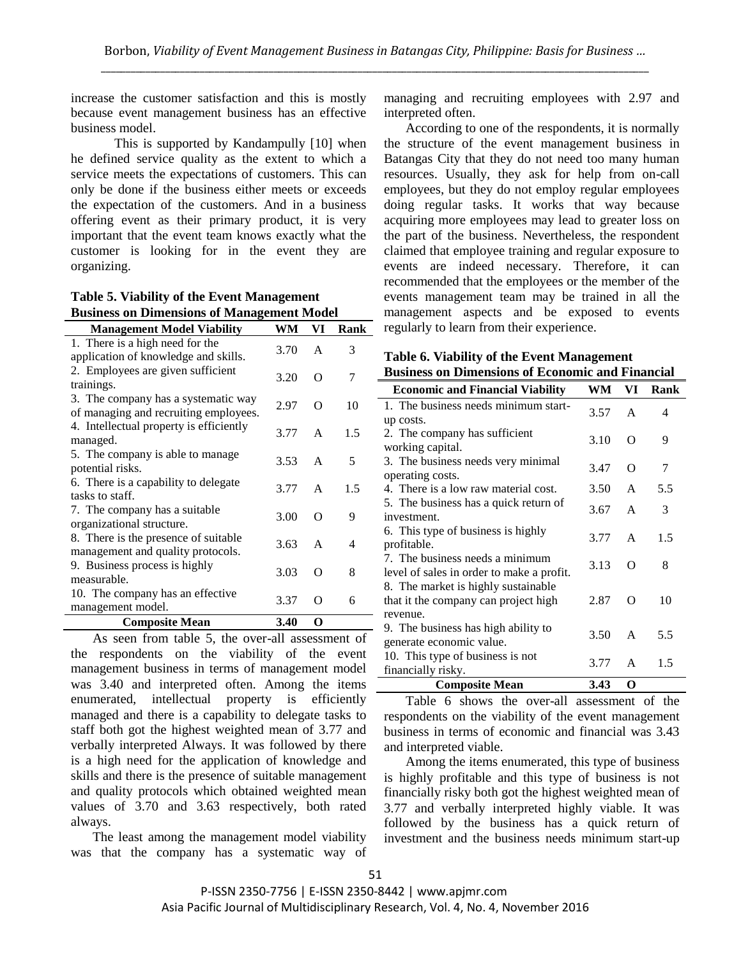increase the customer satisfaction and this is mostly because event management business has an effective business model.

This is supported by Kandampully [10] when he defined service quality as the extent to which a service meets the expectations of customers. This can only be done if the business either meets or exceeds the expectation of the customers. And in a business offering event as their primary product, it is very important that the event team knows exactly what the customer is looking for in the event they are organizing.

| Dusiness on Dimensions of Management Mouch                                   |      |          |      |
|------------------------------------------------------------------------------|------|----------|------|
| <b>Management Model Viability</b>                                            | WM   | VI       | Rank |
| 1. There is a high need for the<br>application of knowledge and skills.      | 3.70 | A        | 3    |
| 2. Employees are given sufficient<br>trainings.                              | 3.20 | $\Omega$ | 7    |
| 3. The company has a systematic way<br>of managing and recruiting employees. | 2.97 | $\Omega$ | 10   |
| 4. Intellectual property is efficiently<br>managed.                          | 3.77 | A        | 1.5  |
| 5. The company is able to manage<br>potential risks.                         | 3.53 | A        | 5    |
| 6. There is a capability to delegate<br>tasks to staff.                      | 3.77 | A        | 1.5  |
| 7. The company has a suitable<br>organizational structure.                   | 3.00 | $\Omega$ | 9    |
| 8. There is the presence of suitable<br>management and quality protocols.    | 3.63 | A        | 4    |
| 9. Business process is highly<br>measurable.                                 | 3.03 | O        | 8    |
| 10. The company has an effective<br>management model.                        | 3.37 | ∩        | 6    |
| <b>Composite Mean</b>                                                        | 3.40 | O        |      |
|                                                                              |      |          |      |

**Table 5. Viability of the Event Management Business on Dimensions of Management Model**

As seen from table 5, the over-all assessment of the respondents on the viability of the event management business in terms of management model was 3.40 and interpreted often. Among the items enumerated, intellectual property is efficiently managed and there is a capability to delegate tasks to staff both got the highest weighted mean of 3.77 and verbally interpreted Always. It was followed by there is a high need for the application of knowledge and skills and there is the presence of suitable management and quality protocols which obtained weighted mean values of 3.70 and 3.63 respectively, both rated always.

The least among the management model viability was that the company has a systematic way of managing and recruiting employees with 2.97 and interpreted often.

According to one of the respondents, it is normally the structure of the event management business in Batangas City that they do not need too many human resources. Usually, they ask for help from on-call employees, but they do not employ regular employees doing regular tasks. It works that way because acquiring more employees may lead to greater loss on the part of the business. Nevertheless, the respondent claimed that employee training and regular exposure to events are indeed necessary. Therefore, it can recommended that the employees or the member of the events management team may be trained in all the management aspects and be exposed to events regularly to learn from their experience.

**Table 6. Viability of the Event Management Business on Dimensions of Economic and Financial** 

| <b>Economic and Financial Viability</b>   | WM   | VI           | Rank |
|-------------------------------------------|------|--------------|------|
| 1. The business needs minimum start-      | 3.57 | A            | 4    |
| up costs.                                 |      |              |      |
| 2. The company has sufficient             | 3.10 | Ω            | 9    |
| working capital.                          |      |              |      |
| 3. The business needs very minimal        | 3.47 | O            | 7    |
| operating costs.                          |      |              |      |
| 4. There is a low raw material cost.      | 3.50 | A            | 5.5  |
| 5. The business has a quick return of     | 3.67 | A            | 3    |
| investment.                               |      |              |      |
| 6. This type of business is highly        | 3.77 | $\mathsf{A}$ | 1.5  |
| profitable.                               |      |              |      |
| 7. The business needs a minimum           | 3.13 | O            | 8    |
| level of sales in order to make a profit. |      |              |      |
| 8. The market is highly sustainable       |      |              |      |
| that it the company can project high      | 2.87 | O            | 10   |
| revenue.                                  |      |              |      |
| 9. The business has high ability to       | 3.50 | $\mathsf{A}$ | 5.5  |
| generate economic value.                  |      |              |      |
| 10. This type of business is not          | 3.77 | A            | 1.5  |
| financially risky.                        |      |              |      |
| <b>Composite Mean</b>                     | 3.43 | O            |      |

Table 6 shows the over-all assessment of the respondents on the viability of the event management business in terms of economic and financial was 3.43 and interpreted viable.

Among the items enumerated, this type of business is highly profitable and this type of business is not financially risky both got the highest weighted mean of 3.77 and verbally interpreted highly viable. It was followed by the business has a quick return of investment and the business needs minimum start-up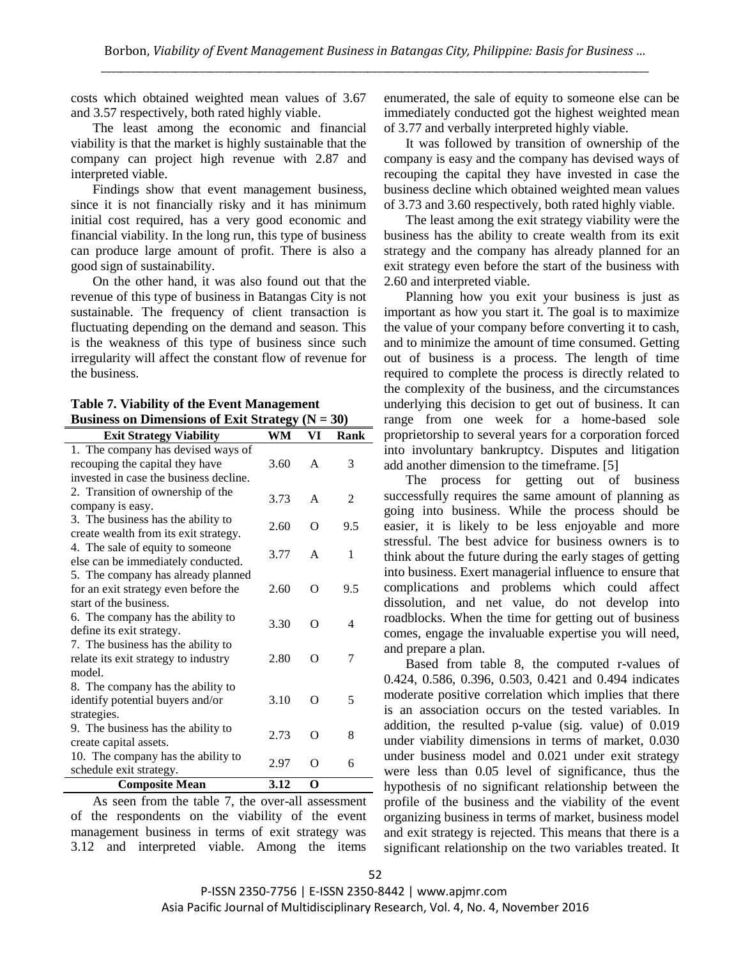costs which obtained weighted mean values of 3.67 and 3.57 respectively, both rated highly viable.

The least among the economic and financial viability is that the market is highly sustainable that the company can project high revenue with 2.87 and interpreted viable.

Findings show that event management business, since it is not financially risky and it has minimum initial cost required, has a very good economic and financial viability. In the long run, this type of business can produce large amount of profit. There is also a good sign of sustainability.

On the other hand, it was also found out that the revenue of this type of business in Batangas City is not sustainable. The frequency of client transaction is fluctuating depending on the demand and season. This is the weakness of this type of business since such irregularity will affect the constant flow of revenue for the business.

**Table 7. Viability of the Event Management Business on Dimensions of Exit Strategy (N = 30)**

| <b>Exit Strategy Viability</b>         | -ອທ<br>WM | VI | Rank |
|----------------------------------------|-----------|----|------|
| 1. The company has devised ways of     |           |    |      |
| recouping the capital they have        | 3.60      | A  | 3    |
| invested in case the business decline. |           |    |      |
| 2. Transition of ownership of the      | 3.73      | A  | 2    |
| company is easy.                       |           |    |      |
| 3. The business has the ability to     | 2.60      | O  | 9.5  |
| create wealth from its exit strategy.  |           |    |      |
| 4. The sale of equity to someone       | 3.77      | A  | 1    |
| else can be immediately conducted.     |           |    |      |
| 5. The company has already planned     |           |    |      |
| for an exit strategy even before the   | 2.60      | O  | 9.5  |
| start of the business.                 |           |    |      |
| 6. The company has the ability to      | 3.30      | O  | 4    |
| define its exit strategy.              |           |    |      |
| 7. The business has the ability to     |           |    |      |
| relate its exit strategy to industry   | 2.80      | O  | 7    |
| model.                                 |           |    |      |
| 8. The company has the ability to      |           |    |      |
| identify potential buyers and/or       | 3.10      | O  | 5    |
| strategies.                            |           |    |      |
| 9. The business has the ability to     | 2.73      | O  | 8    |
| create capital assets.                 |           |    |      |
| 10. The company has the ability to     |           |    |      |
| schedule exit strategy.                | 2.97      | O  | 6    |
| <b>Composite Mean</b>                  | 3.12      | O  |      |

As seen from the table 7, the over-all assessment of the respondents on the viability of the event management business in terms of exit strategy was 3.12 and interpreted viable. Among the items

enumerated, the sale of equity to someone else can be immediately conducted got the highest weighted mean of 3.77 and verbally interpreted highly viable.

It was followed by transition of ownership of the company is easy and the company has devised ways of recouping the capital they have invested in case the business decline which obtained weighted mean values of 3.73 and 3.60 respectively, both rated highly viable.

The least among the exit strategy viability were the business has the ability to create wealth from its exit strategy and the company has already planned for an exit strategy even before the start of the business with 2.60 and interpreted viable.

Planning how you exit your business is just as important as how you start it. The goal is to maximize the value of your company before converting it to cash, and to minimize the amount of time consumed. Getting out of business is a process. The length of time required to complete the process is directly related to the complexity of the business, and the circumstances underlying this decision to get out of business. It can range from one week for a home-based sole proprietorship to several years for a corporation forced into involuntary bankruptcy. Disputes and litigation add another dimension to the timeframe. [5]

The process for getting out of business successfully requires the same amount of planning as going into business. While the process should be easier, it is likely to be less enjoyable and more stressful. The best advice for business owners is to think about the future during the early stages of getting into business. Exert managerial influence to ensure that complications and problems which could affect dissolution, and net value, do not develop into roadblocks. When the time for getting out of business comes, engage the invaluable expertise you will need, and prepare a plan.

Based from table 8, the computed r-values of 0.424, 0.586, 0.396, 0.503, 0.421 and 0.494 indicates moderate positive correlation which implies that there is an association occurs on the tested variables. In addition, the resulted p-value (sig. value) of 0.019 under viability dimensions in terms of market, 0.030 under business model and 0.021 under exit strategy were less than 0.05 level of significance, thus the hypothesis of no significant relationship between the profile of the business and the viability of the event organizing business in terms of market, business model and exit strategy is rejected. This means that there is a significant relationship on the two variables treated. It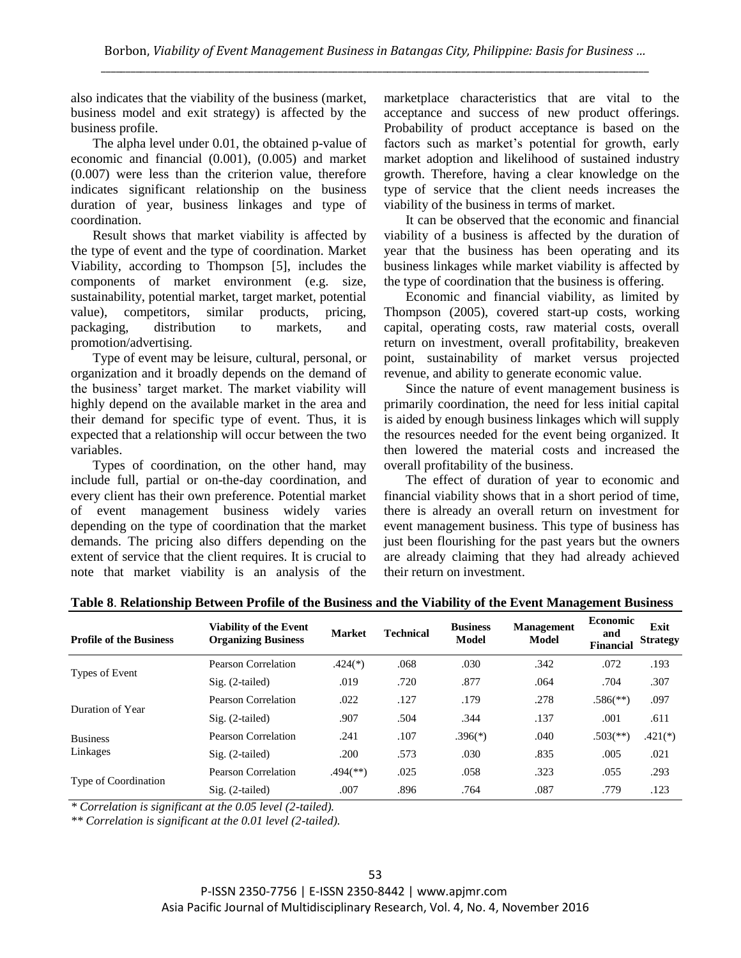also indicates that the viability of the business (market, business model and exit strategy) is affected by the business profile.

The alpha level under 0.01, the obtained p-value of economic and financial (0.001), (0.005) and market (0.007) were less than the criterion value, therefore indicates significant relationship on the business duration of year, business linkages and type of coordination.

Result shows that market viability is affected by the type of event and the type of coordination. Market Viability, according to Thompson [5], includes the components of market environment (e.g. size, sustainability, potential market, target market, potential value), competitors, similar products, pricing, packaging, distribution to markets, and promotion/advertising.

Type of event may be leisure, cultural, personal, or organization and it broadly depends on the demand of the business' target market. The market viability will highly depend on the available market in the area and their demand for specific type of event. Thus, it is expected that a relationship will occur between the two variables.

Types of coordination, on the other hand, may include full, partial or on-the-day coordination, and every client has their own preference. Potential market of event management business widely varies depending on the type of coordination that the market demands. The pricing also differs depending on the extent of service that the client requires. It is crucial to note that market viability is an analysis of the

marketplace characteristics that are vital to the acceptance and success of new product offerings. Probability of product acceptance is based on the factors such as market's potential for growth, early market adoption and likelihood of sustained industry growth. Therefore, having a clear knowledge on the type of service that the client needs increases the viability of the business in terms of market.

It can be observed that the economic and financial viability of a business is affected by the duration of year that the business has been operating and its business linkages while market viability is affected by the type of coordination that the business is offering.

Economic and financial viability, as limited by Thompson (2005), covered start-up costs, working capital, operating costs, raw material costs, overall return on investment, overall profitability, breakeven point, sustainability of market versus projected revenue, and ability to generate economic value.

Since the nature of event management business is primarily coordination, the need for less initial capital is aided by enough business linkages which will supply the resources needed for the event being organized. It then lowered the material costs and increased the overall profitability of the business.

The effect of duration of year to economic and financial viability shows that in a short period of time, there is already an overall return on investment for event management business. This type of business has just been flourishing for the past years but the owners are already claiming that they had already achieved their return on investment.

| <b>Profile of the Business</b> | Viability of the Event<br><b>Organizing Business</b> | <b>Market</b>            | <b>Technical</b> | <b>Business</b><br>Model | Management<br>Model | <b>Economic</b><br>and<br><b>Financial</b> | Exit<br><b>Strategy</b> |
|--------------------------------|------------------------------------------------------|--------------------------|------------------|--------------------------|---------------------|--------------------------------------------|-------------------------|
|                                | Pearson Correlation                                  | $.424(*)$                | .068             | .030                     | .342                | .072                                       | .193                    |
| Types of Event                 | $Sig. (2-tailed)$                                    | .019                     | .720             | .877                     | .064                | .704                                       | .307                    |
| Duration of Year               | Pearson Correlation                                  | .022                     | .127             | .179                     | .278                | $.586$ <sup>(**)</sup> )                   | .097                    |
|                                | $Sig. (2-tailed)$                                    | .907                     | .504             | .344                     | .137                | .001                                       | .611                    |
| <b>Business</b>                | Pearson Correlation                                  | .241                     | .107             | $.396(*)$                | .040                | $.503$ <sup>(**)</sup> )                   | $.421(*)$               |
| Linkages                       | $Sig. (2-tailed)$                                    | .200                     | .573             | .030                     | .835                | .005                                       | .021                    |
| Type of Coordination           | Pearson Correlation                                  | $.494$ <sup>(**)</sup> ) | .025             | .058                     | .323                | .055                                       | .293                    |
|                                | $Sig. (2-tailed)$                                    | .007                     | .896             | .764                     | .087                | .779                                       | .123                    |

# **Table 8**. **Relationship Between Profile of the Business and the Viability of the Event Management Business**

*\* Correlation is significant at the 0.05 level (2-tailed).*

*\*\* Correlation is significant at the 0.01 level (2-tailed).*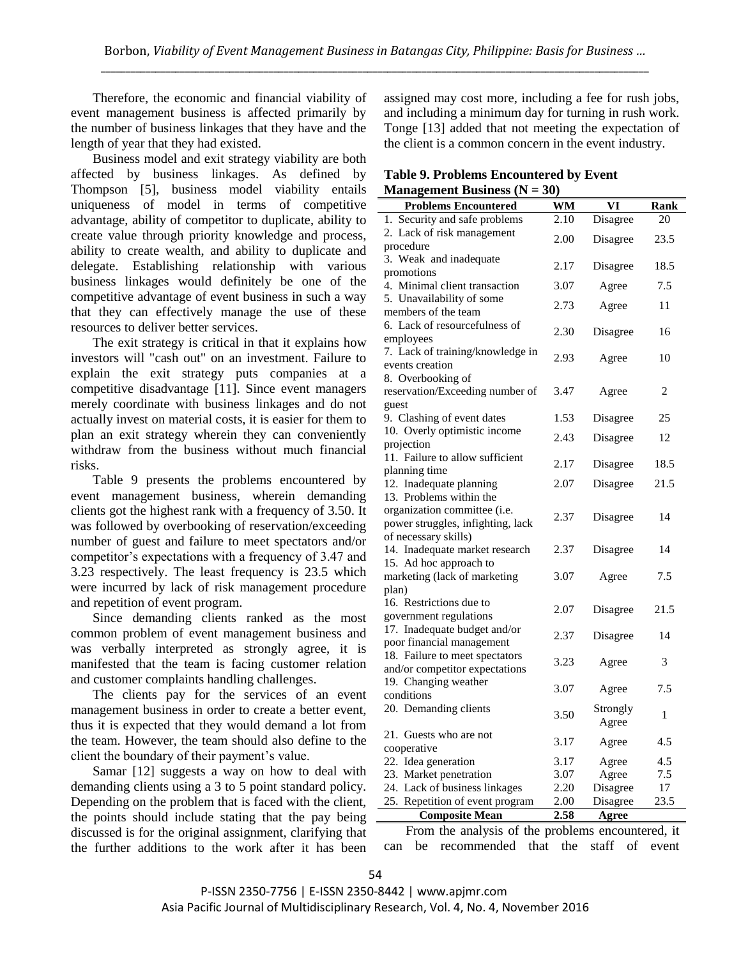Therefore, the economic and financial viability of event management business is affected primarily by the number of business linkages that they have and the length of year that they had existed.

Business model and exit strategy viability are both affected by business linkages. As defined by Thompson [5], business model viability entails uniqueness of model in terms of competitive advantage, ability of competitor to duplicate, ability to create value through priority knowledge and process, ability to create wealth, and ability to duplicate and delegate. Establishing relationship with various business linkages would definitely be one of the competitive advantage of event business in such a way that they can effectively manage the use of these resources to deliver better services.

The exit strategy is critical in that it explains how investors will "cash out" on an investment. Failure to explain the exit strategy puts companies at a competitive disadvantage [11]. Since event managers merely coordinate with business linkages and do not actually invest on material costs, it is easier for them to plan an exit strategy wherein they can conveniently withdraw from the business without much financial risks.

Table 9 presents the problems encountered by event management business, wherein demanding clients got the highest rank with a frequency of 3.50. It was followed by overbooking of reservation/exceeding number of guest and failure to meet spectators and/or competitor's expectations with a frequency of 3.47 and 3.23 respectively. The least frequency is 23.5 which were incurred by lack of risk management procedure and repetition of event program.

Since demanding clients ranked as the most common problem of event management business and was verbally interpreted as strongly agree, it is manifested that the team is facing customer relation and customer complaints handling challenges.

The clients pay for the services of an event management business in order to create a better event, thus it is expected that they would demand a lot from the team. However, the team should also define to the client the boundary of their payment's value.

Samar [12] suggests a way on how to deal with demanding clients using a 3 to 5 point standard policy. Depending on the problem that is faced with the client, the points should include stating that the pay being discussed is for the original assignment, clarifying that the further additions to the work after it has been

assigned may cost more, including a fee for rush jobs, and including a minimum day for turning in rush work. Tonge [13] added that not meeting the expectation of the client is a common concern in the event industry.

#### **Table 9. Problems Encountered by Event Management Business (N = 30)**

| гианаgенісні Dusiness (19         | JU J      |          |      |
|-----------------------------------|-----------|----------|------|
| <b>Problems Encountered</b>       | <b>WM</b> | VI       | Rank |
| 1. Security and safe problems     | 2.10      | Disagree | 20   |
| 2. Lack of risk management        |           |          |      |
| procedure                         | 2.00      | Disagree | 23.5 |
| 3. Weak and inadequate            |           |          |      |
| promotions                        | 2.17      | Disagree | 18.5 |
| 4. Minimal client transaction     | 3.07      | Agree    | 7.5  |
| 5. Unavailability of some         |           |          |      |
| members of the team               | 2.73      | Agree    | 11   |
| 6. Lack of resourcefulness of     |           |          |      |
| employees                         | 2.30      | Disagree | 16   |
| 7. Lack of training/knowledge in  |           |          |      |
| events creation                   | 2.93      | Agree    | 10   |
| 8. Overbooking of                 |           |          |      |
| reservation/Exceeding number of   | 3.47      | Agree    | 2    |
| guest                             |           |          |      |
| 9. Clashing of event dates        | 1.53      | Disagree | 25   |
| 10. Overly optimistic income      |           |          |      |
| projection                        | 2.43      | Disagree | 12   |
| 11. Failure to allow sufficient   |           |          |      |
| planning time                     | 2.17      | Disagree | 18.5 |
| 12. Inadequate planning           | 2.07      | Disagree | 21.5 |
| 13. Problems within the           |           |          |      |
| organization committee (i.e.      |           |          |      |
| power struggles, infighting, lack | 2.37      | Disagree | 14   |
| of necessary skills)              |           |          |      |
| 14. Inadequate market research    | 2.37      | Disagree | 14   |
| 15. Ad hoc approach to            |           |          |      |
| marketing (lack of marketing      | 3.07      | Agree    | 7.5  |
| plan)                             |           |          |      |
| 16. Restrictions due to           |           |          |      |
| government regulations            | 2.07      | Disagree | 21.5 |
| 17. Inadequate budget and/or      |           |          |      |
| poor financial management         | 2.37      | Disagree | 14   |
| 18. Failure to meet spectators    |           |          |      |
| and/or competitor expectations    | 3.23      | Agree    | 3    |
| 19. Changing weather              |           |          |      |
| conditions                        | 3.07      | Agree    | 7.5  |
| 20. Demanding clients             |           | Strongly |      |
|                                   | 3.50      | Agree    | 1    |
| 21. Guests who are not            |           |          |      |
| cooperative                       | 3.17      | Agree    | 4.5  |
| 22. Idea generation               | 3.17      | Agree    | 4.5  |
| 23. Market penetration            | 3.07      | Agree    | 7.5  |
| 24. Lack of business linkages     | 2.20      | Disagree | 17   |
| 25. Repetition of event program   | 2.00      | Disagree | 23.5 |
| <b>Composite Mean</b>             | 2.58      | Agree    |      |

From the analysis of the problems encountered, it can be recommended that the staff of event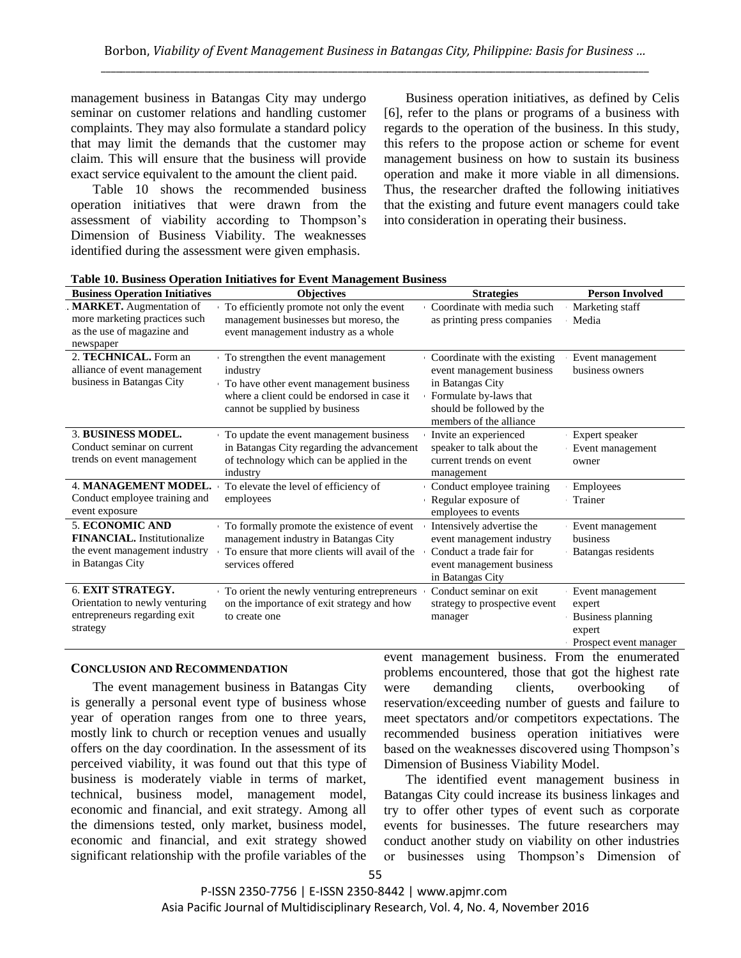management business in Batangas City may undergo seminar on customer relations and handling customer complaints. They may also formulate a standard policy that may limit the demands that the customer may claim. This will ensure that the business will provide exact service equivalent to the amount the client paid.

Table 10 shows the recommended business operation initiatives that were drawn from the assessment of viability according to Thompson's Dimension of Business Viability. The weaknesses identified during the assessment were given emphasis.

Business operation initiatives, as defined by Celis [6], refer to the plans or programs of a business with regards to the operation of the business. In this study, this refers to the propose action or scheme for event management business on how to sustain its business operation and make it more viable in all dimensions. Thus, the researcher drafted the following initiatives that the existing and future event managers could take into consideration in operating their business.

| <b>Business Operation Initiatives</b>                                                                             | <b>Objectives</b>                                                                                                                                                          | <b>Strategies</b>                                                                                                                                               | <b>Person Involved</b>                                                              |
|-------------------------------------------------------------------------------------------------------------------|----------------------------------------------------------------------------------------------------------------------------------------------------------------------------|-----------------------------------------------------------------------------------------------------------------------------------------------------------------|-------------------------------------------------------------------------------------|
| . MARKET. Augmentation of<br>more marketing practices such<br>as the use of magazine and<br>newspaper             | To efficiently promote not only the event<br>management businesses but moreso, the<br>event management industry as a whole                                                 | Coordinate with media such<br>as printing press companies                                                                                                       | Marketing staff<br>Media                                                            |
| 2. TECHNICAL. Form an<br>alliance of event management<br>business in Batangas City                                | To strengthen the event management<br>industry<br>To have other event management business<br>where a client could be endorsed in case it<br>cannot be supplied by business | Coordinate with the existing<br>event management business<br>in Batangas City<br>Formulate by-laws that<br>should be followed by the<br>members of the alliance | Event management<br>business owners                                                 |
| 3. BUSINESS MODEL.<br>Conduct seminar on current<br>trends on event management                                    | To update the event management business<br>in Batangas City regarding the advancement<br>of technology which can be applied in the<br>industry                             | Invite an experienced<br>speaker to talk about the<br>current trends on event<br>management                                                                     | Expert speaker<br>Event management<br>owner                                         |
| <b>4. MANAGEMENT MODEL.</b><br>Conduct employee training and<br>event exposure                                    | To elevate the level of efficiency of<br>employees                                                                                                                         | Conduct employee training<br>Regular exposure of<br>employees to events                                                                                         | Employees<br>Trainer                                                                |
| <b>5. ECONOMIC AND</b><br><b>FINANCIAL.</b> Institutionalize<br>the event management industry<br>in Batangas City | To formally promote the existence of event<br>management industry in Batangas City<br>To ensure that more clients will avail of the<br>services offered                    | Intensively advertise the<br>event management industry<br>Conduct a trade fair for<br>event management business<br>in Batangas City                             | Event management<br>business<br>Batangas residents                                  |
| 6. EXIT STRATEGY.<br>Orientation to newly venturing<br>entrepreneurs regarding exit<br>strategy                   | To orient the newly venturing entrepreneurs<br>on the importance of exit strategy and how<br>to create one                                                                 | Conduct seminar on exit<br>strategy to prospective event<br>manager                                                                                             | Event management<br>expert<br>Business planning<br>expert<br>Prospect event manager |

**Table 10. Business Operation Initiatives for Event Management Business**

## **CONCLUSION AND RECOMMENDATION**

The event management business in Batangas City is generally a personal event type of business whose year of operation ranges from one to three years, mostly link to church or reception venues and usually offers on the day coordination. In the assessment of its perceived viability, it was found out that this type of business is moderately viable in terms of market, technical, business model, management model, economic and financial, and exit strategy. Among all the dimensions tested, only market, business model, economic and financial, and exit strategy showed significant relationship with the profile variables of the event management business. From the enumerated problems encountered, those that got the highest rate were demanding clients, overbooking of reservation/exceeding number of guests and failure to meet spectators and/or competitors expectations. The recommended business operation initiatives were based on the weaknesses discovered using Thompson's Dimension of Business Viability Model.

The identified event management business in Batangas City could increase its business linkages and try to offer other types of event such as corporate events for businesses. The future researchers may conduct another study on viability on other industries or businesses using Thompson's Dimension of